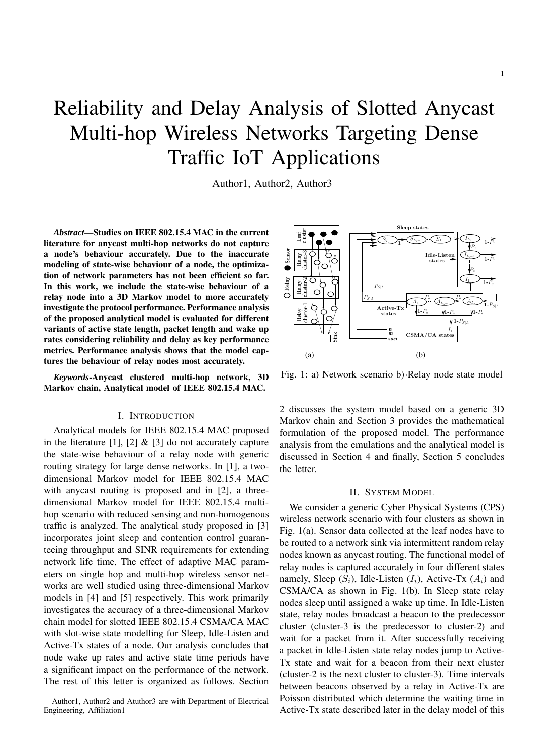# Reliability and Delay Analysis of Slotted Anycast Multi-hop Wireless Networks Targeting Dense Traffic IoT Applications

Author1, Author2, Author3

*Abstract***—Studies on IEEE 802.15.4 MAC in the current literature for anycast multi-hop networks do not capture a node's behaviour accurately. Due to the inaccurate modeling of state-wise behaviour of a node, the optimization of network parameters has not been efficient so far. In this work, we include the state-wise behaviour of a relay node into a 3D Markov model to more accurately investigate the protocol performance. Performance analysis of the proposed analytical model is evaluated for different variants of active state length, packet length and wake up rates considering reliability and delay as key performance metrics. Performance analysis shows that the model captures the behaviour of relay nodes most accurately.**

*Keywords***-Anycast clustered multi-hop network, 3D Markov chain, Analytical model of IEEE 802.15.4 MAC.**

# I. INTRODUCTION

Analytical models for IEEE 802.15.4 MAC proposed in the literature [1], [2]  $\&$  [3] do not accurately capture the state-wise behaviour of a relay node with generic routing strategy for large dense networks. In [1], a twodimensional Markov model for IEEE 802.15.4 MAC with anycast routing is proposed and in [2], a threedimensional Markov model for IEEE 802.15.4 multihop scenario with reduced sensing and non-homogenous traffic is analyzed. The analytical study proposed in [3] incorporates joint sleep and contention control guaranteeing throughput and SINR requirements for extending network life time. The effect of adaptive MAC parameters on single hop and multi-hop wireless sensor networks are well studied using three-dimensional Markov models in [4] and [5] respectively. This work primarily investigates the accuracy of a three-dimensional Markov chain model for slotted IEEE 802.15.4 CSMA/CA MAC with slot-wise state modelling for Sleep, Idle-Listen and Active-Tx states of a node. Our analysis concludes that node wake up rates and active state time periods have a significant impact on the performance of the network. The rest of this letter is organized as follows. Section



Fig. 1: a) Network scenario b) Relay node state model

2 discusses the system model based on a generic 3D Markov chain and Section 3 provides the mathematical formulation of the proposed model. The performance analysis from the emulations and the analytical model is discussed in Section 4 and finally, Section 5 concludes the letter.

## II. SYSTEM MODEL

We consider a generic Cyber Physical Systems (CPS) wireless network scenario with four clusters as shown in Fig. 1(a). Sensor data collected at the leaf nodes have to be routed to a network sink via intermittent random relay nodes known as anycast routing. The functional model of relay nodes is captured accurately in four different states namely, Sleep  $(S_i)$ , Idle-Listen  $(I_i)$ , Active-Tx  $(A_i)$  and CSMA/CA as shown in Fig. 1(b). In Sleep state relay nodes sleep until assigned a wake up time. In Idle-Listen state, relay nodes broadcast a beacon to the predecessor cluster (cluster-3 is the predecessor to cluster-2) and wait for a packet from it. After successfully receiving a packet in Idle-Listen state relay nodes jump to Active-Tx state and wait for a beacon from their next cluster (cluster-2 is the next cluster to cluster-3). Time intervals between beacons observed by a relay in Active-Tx are Poisson distributed which determine the waiting time in Active-Tx state described later in the delay model of this

Author1, Author2 and Atuthor3 are with Department of Electrical Engineering, Affiliation1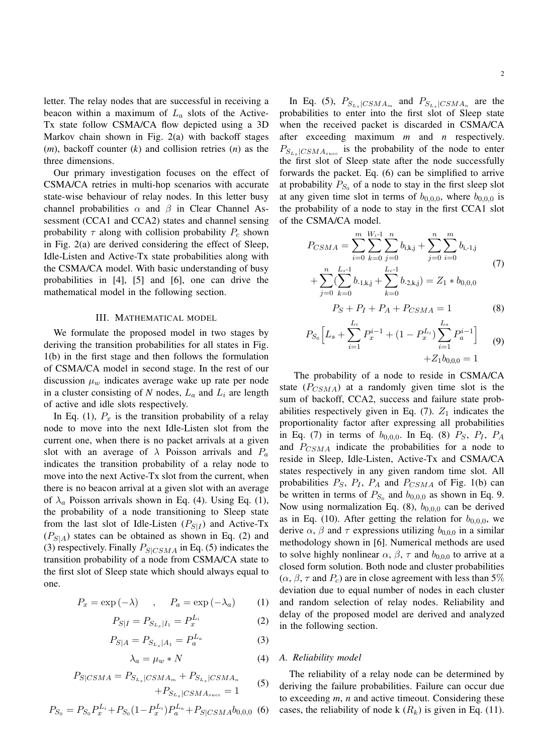letter. The relay nodes that are successful in receiving a beacon within a maximum of  $L_a$  slots of the Active-Tx state follow CSMA/CA flow depicted using a 3D Markov chain shown in Fig. 2(a) with backoff stages (*m*), backoff counter (*k*) and collision retries (*n*) as the three dimensions.

Our primary investigation focuses on the effect of CSMA/CA retries in multi-hop scenarios with accurate state-wise behaviour of relay nodes. In this letter busy channel probabilities  $\alpha$  and  $\beta$  in Clear Channel Assessment (CCA1 and CCA2) states and channel sensing probability  $\tau$  along with collision probability  $P_c$  shown in Fig. 2(a) are derived considering the effect of Sleep, Idle-Listen and Active-Tx state probabilities along with the CSMA/CA model. With basic understanding of busy probabilities in [4], [5] and [6], one can drive the mathematical model in the following section.

# III. MATHEMATICAL MODEL

We formulate the proposed model in two stages by deriving the transition probabilities for all states in Fig. 1(b) in the first stage and then follows the formulation of CSMA/CA model in second stage. In the rest of our discussion  $\mu_w$  indicates average wake up rate per node in a cluster consisting of  $N$  nodes,  $L_a$  and  $L_i$  are length of active and idle slots respectively.

In Eq. (1),  $P_x$  is the transition probability of a relay node to move into the next Idle-Listen slot from the current one, when there is no packet arrivals at a given slot with an average of  $\lambda$  Poisson arrivals and  $P_a$ indicates the transition probability of a relay node to move into the next Active-Tx slot from the current, when there is no beacon arrival at a given slot with an average of  $\lambda_a$  Poisson arrivals shown in Eq. (4). Using Eq. (1), the probability of a node transitioning to Sleep state from the last slot of Idle-Listen  $(P_{S|I})$  and Active-Tx  $(P_{S|A})$  states can be obtained as shown in Eq. (2) and (3) respectively. Finally  $P_{S|CSMA}$  in Eq. (5) indicates the transition probability of a node from CSMA/CA state to the first slot of Sleep state which should always equal to one.

$$
P_x = \exp(-\lambda) \quad , \quad P_a = \exp(-\lambda_a) \tag{1}
$$

$$
P_{S|I} = P_{S_{L_s}|I_1} = P_x^{L_i} \tag{2}
$$

$$
P_{S|A} = P_{S_{L_s}|A_1} = P_a^{L_a} \tag{3}
$$

$$
\lambda_a = \mu_w * N \tag{4}
$$

$$
P_{S|CSMA} = P_{S_{L_s}|CSMA_m} + P_{S_{L_s}|CSMA_n} + P_{S_{L_s}|CSMA_{succ}} \tag{5}
$$

$$
P_{S_0} = P_{S_0} P_x^{L_i} + P_{S_0} (1 - P_x^{L_i}) P_a^{L_a} + P_{S|CSMA} b_{0,0,0} \tag{6}
$$

In Eq. (5),  $P_{S_{L_s}|CSMA_m}$  and  $P_{S_{L_s}|CSMA_n}$  are the probabilities to enter into the first slot of Sleep state when the received packet is discarded in CSMA/CA after exceeding maximum *m* and *n* respectively.  $P_{S_{L_s}|CSMA_{succ}}$  is the probability of the node to enter the first slot of Sleep state after the node successfully forwards the packet. Eq. (6) can be simplified to arrive at probability  $P_{S_0}$  of a node to stay in the first sleep slot at any given time slot in terms of  $b_{0,0,0}$ , where  $b_{0,0,0}$  is the probability of a node to stay in the first CCA1 slot of the CSMA/CA model.

$$
P_{CSMA} = \sum_{i=0}^{m} \sum_{k=0}^{W_i-1} \sum_{j=0}^{n} b_{i,k,j} + \sum_{j=0}^{n} \sum_{i=0}^{m} b_{i,-1,j}
$$
  
+ 
$$
\sum_{j=0}^{n} (\sum_{k=0}^{L_s-1} b_{-1,k,j} + \sum_{k=0}^{L_c-1} b_{-2,k,j}) = Z_1 * b_{0,0,0}
$$
 (7)

$$
P_S + P_I + P_A + P_{CSMA} = 1 \tag{8}
$$

$$
P_{S_0}\left[L_s + \sum_{i=1}^{L_i} P_x^{i-1} + (1 - P_x^{L_i}) \sum_{i=1}^{L_a} P_a^{i-1}\right]
$$
  
+Z<sub>1</sub>b<sub>0,0,0</sub> = 1 (9)

The probability of a node to reside in CSMA/CA state  $(P_{CSMA})$  at a randomly given time slot is the sum of backoff, CCA2, success and failure state probabilities respectively given in Eq.  $(7)$ .  $Z_1$  indicates the proportionality factor after expressing all probabilities in Eq. (7) in terms of  $b_{0,0,0}$ . In Eq. (8)  $P_S$ ,  $P_I$ ,  $P_A$ and  $P_{CSMA}$  indicate the probabilities for a node to reside in Sleep, Idle-Listen, Active-Tx and CSMA/CA states respectively in any given random time slot. All probabilities  $P_S$ ,  $P_I$ ,  $P_A$  and  $P_{CSMA}$  of Fig. 1(b) can be written in terms of  $P_{S_0}$  and  $b_{0,0,0}$  as shown in Eq. 9. Now using normalization Eq.  $(8)$ ,  $b_{0,0,0}$  can be derived as in Eq. (10). After getting the relation for  $b_{0,0,0}$ , we derive  $\alpha$ ,  $\beta$  and  $\tau$  expressions utilizing  $b_{0,0,0}$  in a similar methodology shown in [6]. Numerical methods are used to solve highly nonlinear  $\alpha$ ,  $\beta$ ,  $\tau$  and  $b_{0,0,0}$  to arrive at a closed form solution. Both node and cluster probabilities  $(\alpha, \beta, \tau \text{ and } P_c)$  are in close agreement with less than 5% deviation due to equal number of nodes in each cluster and random selection of relay nodes. Reliability and delay of the proposed model are derived and analyzed in the following section.

#### *A. Reliability model*

The reliability of a relay node can be determined by deriving the failure probabilities. Failure can occur due to exceeding *m*, *n* and active timeout. Considering these cases, the reliability of node k  $(R_k)$  is given in Eq. (11).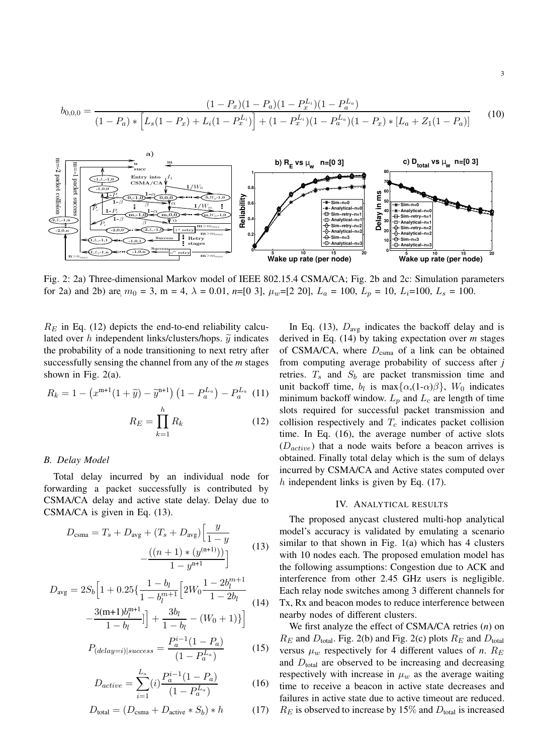$$
b_{0,0,0} = \frac{(1 - P_x)(1 - P_a)(1 - P_x^{L_i})(1 - P_a^{L_a})}{(1 - P_a) * \left[L_s(1 - P_x) + L_i(1 - P_x^{L_i})\right] + (1 - P_x^{L_i})(1 - P_a^{L_a})(1 - P_x) * \left[L_a + Z_1(1 - P_a)\right]}
$$
(10)



for 2a) and 2b) are  $m_0 = 3$ ,  $m = 4$ ,  $\lambda = 0.01$ ,  $n=[0 \ 3]$ ,  $\mu_w=[2 \ 20]$ ,  $L_a = 100$ ,  $L_p = 10$ ,  $L_i=100$ ,  $L_s = 100$ . Fig. 2: 2a) Three-dimensional Markov model of IEEE 802.15.4 CSMA/CA; Fig. 2b and 2c: Simulation parameters

 $R_E$  in Eq. (12) depicts the end-to-end reliability calculated over h independent links/clusters/hops.  $\tilde{y}$  indicates the probability of a node transitioning to next retry after successfully sensing the channel from any of the *m* stages shown in Fig.  $2(a)$ .

$$
R_k = 1 - \left(x^{m+1}(1+\tilde{y}) - \tilde{y}^{n+1}\right)\left(1 - P_a^{L_a}\right) - P_a^{L_a}
$$
 (11)  

$$
R_E = \prod_{k=1}^h R_k
$$
 (12)

# *B. Delay Model*

Total delay incurred by an individual node for forwarding a packet successfully is contributed by CSMA/CA delay and active state delay. Delay due to CSMA/CA is given in Eq. (13).

$$
D_{\text{csma}} = T_s + D_{\text{avg}} + (T_s + D_{\text{avg}}) \left[ \frac{y}{1 - y} - \frac{((n+1) * (y^{(n+1)}))}{1 - y^{n+1}} \right]
$$
(13)

$$
D_{\text{avg}} = 2S_b \Big[ 1 + 0.25 \left\{ \frac{1 - b_l}{1 - b_l^{m+1}} \Big[ 2W_0 \frac{1 - 2b_l^{m+1}}{1 - 2b_l} - \frac{3(m+1)b_l^{m+1}}{1 - b_l} \Big] \right] + \frac{3b_l}{1 - b_l} - (W_0 + 1) \Big\} \Big]
$$
(14)

$$
P_{(delay=i)|success} = \frac{P_a^{i-1}(1 - P_a)}{(1 - P_a^{L_a})}
$$
 (15)

$$
D_{active} = \sum_{i=1}^{L_a} (i) \frac{P_a^{i-1}(1 - P_a)}{(1 - P_a^{L_a})}
$$
 (16)

$$
D_{\text{total}} = (D_{\text{csma}} + D_{\text{active}} * S_b) * h \tag{17}
$$

In Eq. (13),  $D_{avg}$  indicates the backoff delay and is derived in Eq. (14) by taking expectation over *m* stages of CSMA/CA, where  $D_{\text{csma}}$  of a link can be obtained from computing average probability of success after *j* retries.  $T_s$  and  $S_b$  are packet transmission time and unit backoff time,  $b_l$  is max $\{\alpha,(1-\alpha)\beta\}$ ,  $W_0$  indicates minimum backoff window.  $L_n$  and  $L_c$  are length of time slots required for successful packet transmission and collision respectively and  $T_c$  indicates packet collision time. In Eq. (16), the average number of active slots  $(D<sub>active</sub>)$  that a node waits before a beacon arrives is obtained. Finally total delay which is the sum of delays incurred by CSMA/CA and Active states computed over h independent links is given by Eq.  $(17)$ .

# IV. ANALYTICAL RESULTS

The proposed anycast clustered multi-hop analytical model's accuracy is validated by emulating a scenario similar to that shown in Fig. 1(a) which has 4 clusters with 10 nodes each. The proposed emulation model has the following assumptions: Congestion due to ACK and interference from other 2.45 GHz users is negligible. Each relay node switches among 3 different channels for Tx, Rx and beacon modes to reduce interference between nearby nodes of different clusters.

We first analyze the effect of CSMA/CA retries (*n*) on  $R_E$  and  $D_{\text{total}}$ . Fig. 2(b) and Fig. 2(c) plots  $R_E$  and  $D_{\text{total}}$ versus  $\mu_w$  respectively for 4 different values of *n*.  $R_E$ and  $D_{total}$  are observed to be increasing and decreasing respectively with increase in  $\mu_w$  as the average waiting time to receive a beacon in active state decreases and failures in active state due to active timeout are reduced.  $R_E$  is observed to increase by 15% and  $D_{total}$  is increased